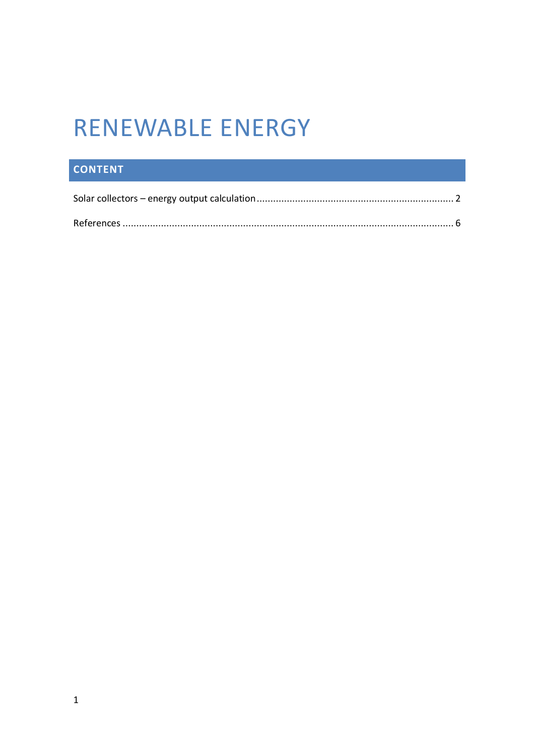## **RENEWABLE ENERGY**

## **CONTENT**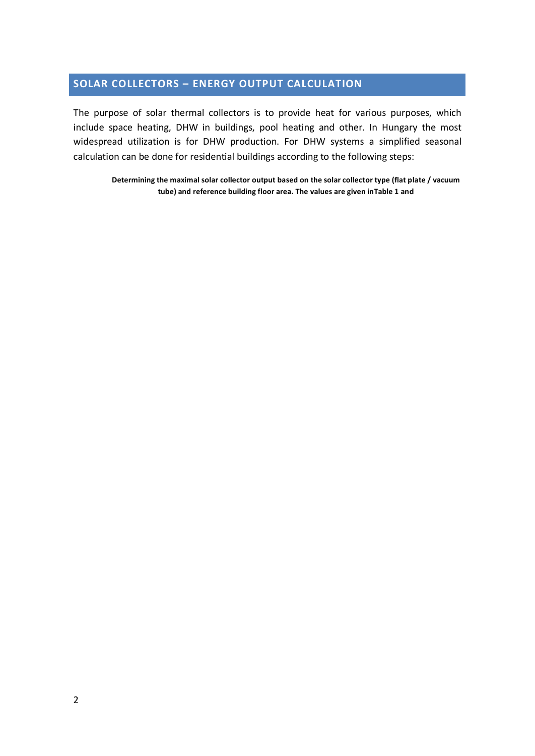## **SOLAR COLLECTORS – ENERGY OUTPUT CALCULATION**

The purpose of solar thermal collectors is to provide heat for various purposes, which include space heating, DHW in buildings, pool heating and other. In Hungary the most widespread utilization is for DHW production. For DHW systems a simplified seasonal calculation can be done for residential buildings according to the following steps:

**Determining the maximal solar collector output based on the solar collector type (flat plate / vacuum tube) and reference building floor area. The values are given inTable 1 and**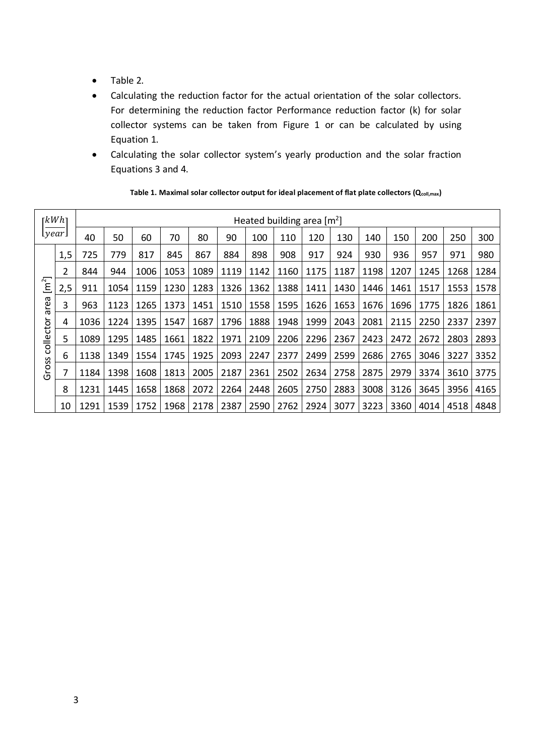- Table 2.
- Calculating the reduction factor for the actual orientation of the solar collectors. For determining the reduction factor Performance reduction factor (k) for solar collector systems can be taken from Figure 1 or can be calculated by using Equation 1.
- Calculating the solar collector system's yearly production and the solar fraction Equations 3 and 4.

|                                                     | rkWhı | Heated building area $[m^2]$ |                    |      |      |      |                |      |      |      |      |      |      |      |      |             |
|-----------------------------------------------------|-------|------------------------------|--------------------|------|------|------|----------------|------|------|------|------|------|------|------|------|-------------|
| [year]                                              |       | 40                           | 50                 | 60   | 70   | 80   | 90             | 100  | 110  | 120  | 130  | 140  | 150  | 200  | 250  | 300         |
| $\left[ m^{2}\right]$<br>area<br>collector<br>Gross | 1,5   | 725                          | 779                | 817  | 845  | 867  | 884            | 898  | 908  | 917  | 924  | 930  | 936  | 957  | 971  | 980         |
|                                                     | 2     | 844                          | 944                | 1006 | 1053 | 1089 | 1119           | 1142 | 1160 | 1175 | 1187 | 1198 | 1207 | 1245 | 1268 | 1284        |
|                                                     | 2,5   | 911                          | 1054               | 1159 | 1230 | 1283 | 1326           | 1362 | 1388 | 1411 | 1430 | 1446 | 1461 | 1517 | 1553 | 1578        |
|                                                     | 3     | 963                          | 1123               | 1265 | 1373 | 1451 | 1510           | 1558 | 1595 | 1626 | 1653 | 1676 | 1696 | 1775 | 1826 | 1861        |
|                                                     | 4     | 1036                         | 1224               | 1395 | 1547 | 1687 | 1796           | 1888 | 1948 | 1999 | 2043 | 2081 | 2115 | 2250 | 2337 | 2397        |
|                                                     | 5     | 1089                         | 1295               | 1485 | 1661 | 1822 | 1971           | 2109 | 2206 | 2296 | 2367 | 2423 | 2472 | 2672 | 2803 | 2893        |
|                                                     | 6     | 1138                         | 1349               | 1554 | 1745 | 1925 | 2093           | 2247 | 2377 | 2499 | 2599 | 2686 | 2765 | 3046 | 3227 | 3352        |
|                                                     |       | 1184                         | 1398               | 1608 | 1813 | 2005 | 2187           | 2361 | 2502 | 2634 | 2758 | 2875 | 2979 | 3374 | 3610 | 3775        |
|                                                     | 8     | 1231                         | 1445               | 1658 | 1868 | 2072 | 2264           | 2448 | 2605 | 2750 | 2883 | 3008 | 3126 | 3645 | 3956 | 4165        |
|                                                     | 10    |                              | 1291   1539   1752 |      | 1968 |      | 2178 2387 2590 |      | 2762 | 2924 | 3077 | 3223 | 3360 | 4014 |      | 4518   4848 |

Table 1. Maximal solar collector output for ideal placement of flat plate collectors (Q<sub>coll,max</sub>)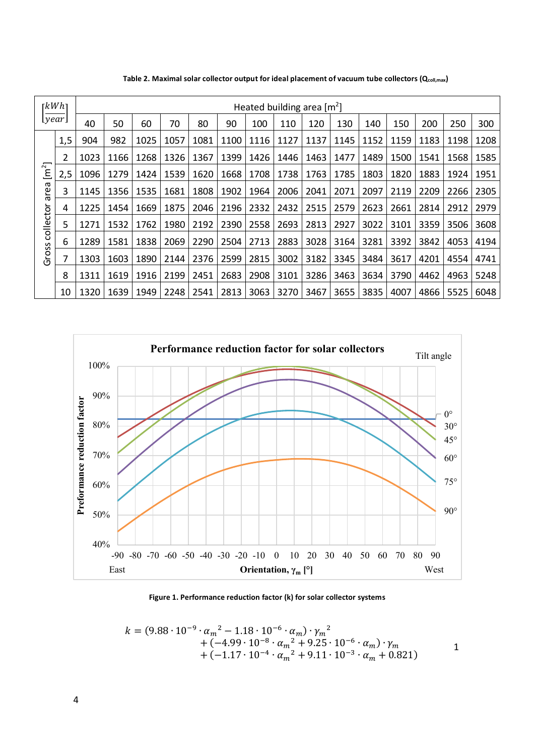|                                                    | rkWhı | Heated building area $[m^2]$ |      |      |      |      |      |      |      |      |      |      |      |      |      |      |
|----------------------------------------------------|-------|------------------------------|------|------|------|------|------|------|------|------|------|------|------|------|------|------|
| [year]                                             |       | 40                           | 50   | 60   | 70   | 80   | 90   | 100  | 110  | 120  | 130  | 140  | 150  | 200  | 250  | 300  |
| $\left[ m^2 \right]$<br>area<br>collector<br>Gross | 1,5   | 904                          | 982  | 1025 | 1057 | 1081 | 1100 | 1116 | 1127 | 1137 | 1145 | 1152 | 1159 | 1183 | 1198 | 1208 |
|                                                    | 2     | 1023                         | 1166 | 1268 | 1326 | 1367 | 1399 | 1426 | 1446 | 1463 | 1477 | 1489 | 1500 | 1541 | 1568 | 1585 |
|                                                    | 2,5   | 1096                         | 1279 | 1424 | 1539 | 1620 | 1668 | 1708 | 1738 | 1763 | 1785 | 1803 | 1820 | 1883 | 1924 | 1951 |
|                                                    | 3     | 1145                         | 1356 | 1535 | 1681 | 1808 | 1902 | 1964 | 2006 | 2041 | 2071 | 2097 | 2119 | 2209 | 2266 | 2305 |
|                                                    | 4     | 1225                         | 1454 | 1669 | 1875 | 2046 | 2196 | 2332 | 2432 | 2515 | 2579 | 2623 | 2661 | 2814 | 2912 | 2979 |
|                                                    | 5     | 1271                         | 1532 | 1762 | 1980 | 2192 | 2390 | 2558 | 2693 | 2813 | 2927 | 3022 | 3101 | 3359 | 3506 | 3608 |
|                                                    | 6     | 1289                         | 1581 | 1838 | 2069 | 2290 | 2504 | 2713 | 2883 | 3028 | 3164 | 3281 | 3392 | 3842 | 4053 | 4194 |
|                                                    |       | 1303                         | 1603 | 1890 | 2144 | 2376 | 2599 | 2815 | 3002 | 3182 | 3345 | 3484 | 3617 | 4201 | 4554 | 4741 |
|                                                    | 8     | 1311                         | 1619 | 1916 | 2199 | 2451 | 2683 | 2908 | 3101 | 3286 | 3463 | 3634 | 3790 | 4462 | 4963 | 5248 |
|                                                    | 10    | 1320                         | 1639 | 1949 | 2248 | 2541 | 2813 | 3063 | 3270 | 3467 | 3655 | 3835 | 4007 | 4866 | 5525 | 6048 |

Table 2. Maximal solar collector output for ideal placement of vacuum tube collectors (Qcoll,max)



**Figure 1. Performance reduction factor (k) for solar collector systems**

$$
k = (9.88 \cdot 10^{-9} \cdot \alpha_m^2 - 1.18 \cdot 10^{-6} \cdot \alpha_m) \cdot \gamma_m^2 + (-4.99 \cdot 10^{-8} \cdot \alpha_m^2 + 9.25 \cdot 10^{-6} \cdot \alpha_m) \cdot \gamma_m + (-1.17 \cdot 10^{-4} \cdot \alpha_m^2 + 9.11 \cdot 10^{-3} \cdot \alpha_m + 0.821)
$$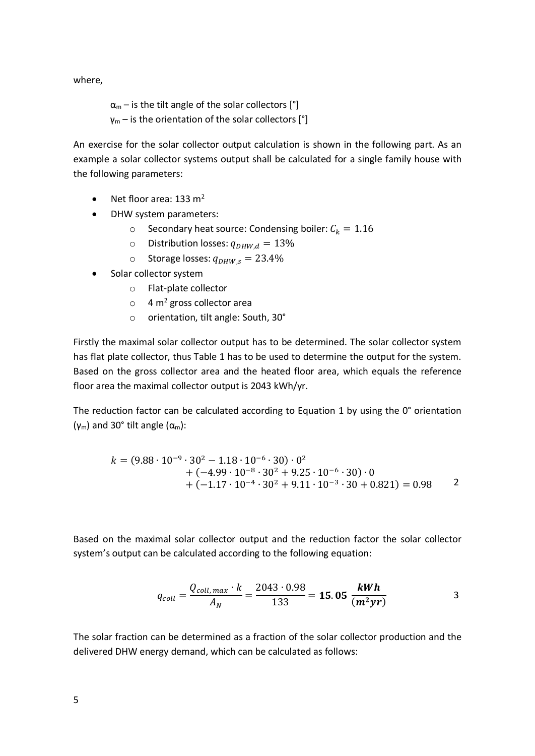where,

 $\alpha_m$  – is the tilt angle of the solar collectors  $[°]$  $\gamma_m$  – is the orientation of the solar collectors [°]

An exercise for the solar collector output calculation is shown in the following part. As an example a solar collector systems output shall be calculated for a single family house with the following parameters:

- Net floor area: 133 m<sup>2</sup>
- DHW system parameters:
	- $\circ$  Secondary heat source: Condensing boiler:  $C_k = 1.16$
	- $\circ$  Distribution losses:  $q_{DHW,d} = 13\%$
	- o Storage losses:  $q_{DHW,s} = 23.4\%$
- Solar collector system
	- o Flat-plate collector
	- $\circ$  4 m<sup>2</sup> gross collector area
	- o orientation, tilt angle: South, 30°

Firstly the maximal solar collector output has to be determined. The solar collector system has flat plate collector, thus Table 1 has to be used to determine the output for the system. Based on the gross collector area and the heated floor area, which equals the reference floor area the maximal collector output is 2043 kWh/yr.

The reduction factor can be calculated according to Equation 1 by using the  $0^\circ$  orientation (γ<sub>m</sub>) and 30° tilt angle ( $α<sub>m</sub>$ ):

$$
k = (9.88 \cdot 10^{-9} \cdot 30^2 - 1.18 \cdot 10^{-6} \cdot 30) \cdot 0^2
$$
  
+ (-4.99 \cdot 10^{-8} \cdot 30^2 + 9.25 \cdot 10^{-6} \cdot 30) \cdot 0  
+ (-1.17 \cdot 10^{-4} \cdot 30^2 + 9.11 \cdot 10^{-3} \cdot 30 + 0.821) = 0.98

Based on the maximal solar collector output and the reduction factor the solar collector system's output can be calculated according to the following equation:

$$
q_{coll} = \frac{Q_{coll,max} \cdot k}{A_N} = \frac{2043 \cdot 0.98}{133} = 15.05 \frac{kWh}{(m^2 yr)}
$$

The solar fraction can be determined as a fraction of the solar collector production and the delivered DHW energy demand, which can be calculated as follows: